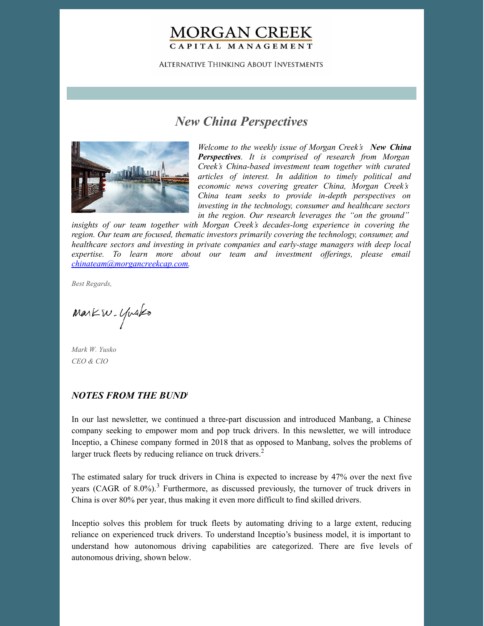## **MORGAN CREEK** CAPITAL MANAGEMENT

**ALTERNATIVE THINKING ABOUT INVESTMENTS** 

# *New China Perspectives*



*Welcome to the weekly issue of Morgan Creek's New China Perspectives. It is comprised of research from Morgan Creek's China-based investment team together with curated articles of interest. In addition to timely political and economic news covering greater China, Morgan Creek's China team seeks to provide in-depth perspectives on investing in the technology, consumer and healthcare sectors in the region. Our research leverages the "on the ground"*

*insights of our team together with Morgan Creek's decades-long experience in covering the region. Our team are focused, thematic investors primarily covering the technology, consumer, and healthcare sectors and investing in private companies and early-stage managers with deep local expertise. To learn more about our team and investment of erings, please email [chinateam@morgancreekcap.com](mailto:chinateam@morgancreekcap.com).*

*Best Regards,*

Markw. Yusko

*Mark W. Yusko CEO & CIO*

#### *NOTES FROM THE BUND* 1

In our last newsletter, we continued a three-part discussion and introduced Manbang, a Chinese company seeking to empower mom and pop truck drivers. In this newsletter, we will introduce Inceptio, a Chinese company formed in 2018 that as opposed to Manbang, solves the problems of larger truck fleets by reducing reliance on truck drivers. $<sup>2</sup>$ </sup>

The estimated salary for truck drivers in China is expected to increase by 47% over the next five years (CAGR of 8.0%).<sup>3</sup> Furthermore, as discussed previously, the turnover of truck drivers in China is over 80% per year, thus making it even more difficult to find skilled drivers.

Inceptio solves this problem for truck fleets by automating driving to a large extent, reducing reliance on experienced truck drivers. To understand Inceptio's business model, it is important to understand how autonomous driving capabilities are categorized. There are five levels of autonomous driving, shown below.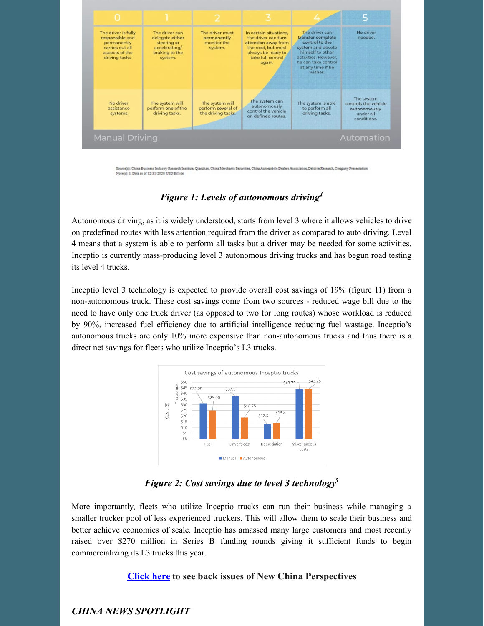

Source(s): China Business Industry Research Institute, Qianzhan, China Merchants Securities, China Automobile Dealers Association, Deloitte Research, Company Presentation Note(s): 1. Data as of 12/31/2020 USD Billion

#### *Figure 1: Levels of autonomous driving 4*

Autonomous driving, as it is widely understood, starts from level 3 where it allows vehicles to drive on predefined routes with less attention required from the driver as compared to auto driving. Level 4 means that a system is able to perform all tasks but a driver may be needed for some activities. Inceptio is currently mass-producing level 3 autonomous driving trucks and has begun road testing its level 4 trucks.

Inceptio level 3 technology is expected to provide overall cost savings of 19% (figure 11) from a non-autonomous truck. These cost savings come from two sources - reduced wage bill due to the need to have only one truck driver (as opposed to two for long routes) whose workload is reduced by 90%, increased fuel efficiency due to artificial intelligence reducing fuel wastage. Inceptio's autonomous trucks are only 10% more expensive than non-autonomous trucks and thus there is a direct net savings for fleets who utilize Inceptio's L3 trucks.



*Figure 2: Cost savings due to level 3 technology 5*

More importantly, fleets who utilize Inceptio trucks can run their business while managing a smaller trucker pool of less experienced truckers. This will allow them to scale their business and better achieve economies of scale. Inceptio has amassed many large customers and most recently raised over \$270 million in Series B funding rounds giving it sufficient funds to begin commercializing its L3 trucks this year.

#### **[Click](https://www.morgancreekcap.com/market-commentary/#investment-process) here to see back issues of New China Perspectives**

### *CHINA NEWS SPOTLIGHT*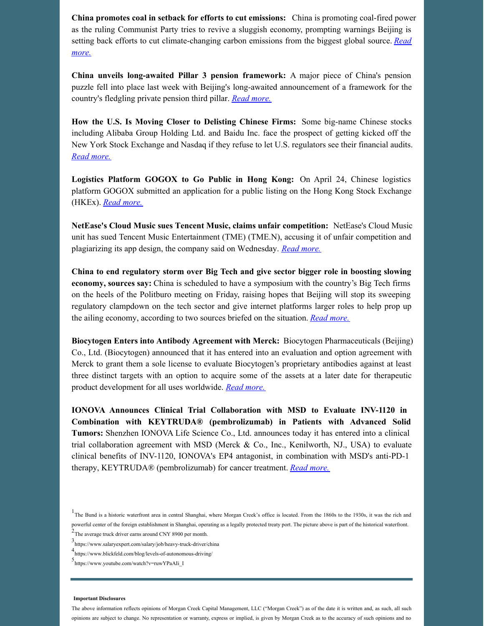**China promotes coal in setback for efforts to cut emissions:** China is promoting coal-fired power as the ruling Communist Party tries to revive a sluggish economy, prompting warnings Beijing is setting back efforts to cut [climate-changing](https://www.npr.org/2022/04/25/1094586702/china-promotes-coal-in-setback-for-efforts-to-cut-emissions) carbon emissions from the biggest global source. *Read more.*

**China unveils long-awaited Pillar 3 pension framework:** A major piece of China's pension puzzle fell into place last week with Beijing's long-awaited announcement of a framework for the country's fledgling private pension third pillar. *Read [more.](https://www.pionline.com/pension-funds/china-unveils-long-awaited-pillar-3-private-pension-framework)*

**How the U.S. Is Moving Closer to Delisting Chinese Firms:** Some big-name Chinese stocks including Alibaba Group Holding Ltd. and Baidu Inc. face the prospect of getting kicked off the New York Stock Exchange and Nasdaq if they refuse to let U.S. regulators see their financial audits. *Read [more.](https://www.washingtonpost.com/business/how-the-us-is-moving-closer-to-delisting-chinese-firms/2022/04/29/82db7596-c776-11ec-8cff-33b059f4c1b7_story.html)*

**Logistics Platform GOGOX to Go Public in Hong Kong:** On April 24, Chinese logistics platform GOGOX submitted an application for a public listing on the Hong Kong Stock Exchange (HKEx). *Read [more.](https://pandaily.com/logistics-platform-gogox-to-go-public-in-hong-kong/)*

**NetEase's Cloud Music sues Tencent Music, claims unfair competition:** NetEase's Cloud Music unit has sued Tencent Music Entertainment (TME) (TME.N), accusing it of unfair competition and plagiarizing its app design, the company said on Wednesday. *Read [more.](https://www.reuters.com/technology/neteases-cloud-music-sues-tencent-music-alleged-unfair-competition-2022-04-27/)*

**China to end regulatory storm over Big Tech and give sector bigger role in boosting slowing economy, sources say:** China is scheduled to have a symposium with the country's Big Tech firms on the heels of the Politburo meeting on Friday, raising hopes that Beijing will stop its sweeping regulatory clampdown on the tech sector and give internet platforms larger roles to help prop up the ailing economy, according to two sources briefed on the situation. *Read [more.](https://www.scmp.com/tech/big-tech/article/3175971/china-end-regulatory-storm-over-big-tech-and-give-sector-bigger-role)*

**Biocytogen Enters into Antibody Agreement with Merck:** Biocytogen Pharmaceuticals (Beijing) Co., Ltd. (Biocytogen) announced that it has entered into an evaluation and option agreement with Merck to grant them a sole license to evaluate Biocytogen's proprietary antibodies against at least three distinct targets with an option to acquire some of the assets at a later date for therapeutic product development for all uses worldwide. *Read [more.](https://www.biopharmadive.com/press-release/20220428-biocytogen-enters-into-antibody-agreement-with-merck/)*

**IONOVA Announces Clinical Trial Collaboration with MSD to Evaluate INV-1120 in Combination with KEYTRUDA® (pembrolizumab) in Patients with Advanced Solid Tumors:** Shenzhen IONOVA Life Science Co., Ltd. announces today it has entered into a clinical trial collaboration agreement with MSD (Merck & Co., Inc., Kenilworth, NJ., USA) to evaluate clinical benefits of INV-1120, IONOVA's EP4 antagonist, in combination with MSD's anti-PD-1 therapy, KEYTRUDA® (pembrolizumab) for cancer treatment. *Read [more.](https://www.biospace.com/article/releases/ionova-announces-clinical-trial-collaboration-with-msd-to-evaluate-inv-1120-in-combination-with-keytruda-pembrolizumab-in-patients-with-advanced-solid-tumors/)*

#### **Important Disclosures**

The above information reflects opinions of Morgan Creek Capital Management, LLC ("Morgan Creek") as of the date it is written and, as such, all such opinions are subject to change. No representation or warranty, express or implied, is given by Morgan Creek as to the accuracy of such opinions and no

<sup>&</sup>lt;sup>1</sup>The Bund is a historic waterfront area in central Shanghai, where Morgan Creek's office is located. From the 1860s to the 1930s, it was the rich and powerful center of the foreign establishment in Shanghai, operating as a legally protected treaty port. The picture above is part of the historical waterfront. 2 The average truck driver earns around CNY 8900 per month.

<sup>3</sup> https://www.salaryexpert.com/salary/job/heavy-truck-driver/china

<sup>4</sup> https://www.blickfeld.com/blog/levels-of-autonomous-driving/

<sup>5</sup> https://www.youtube.com/watch?v=ruwYPaAIi\_I